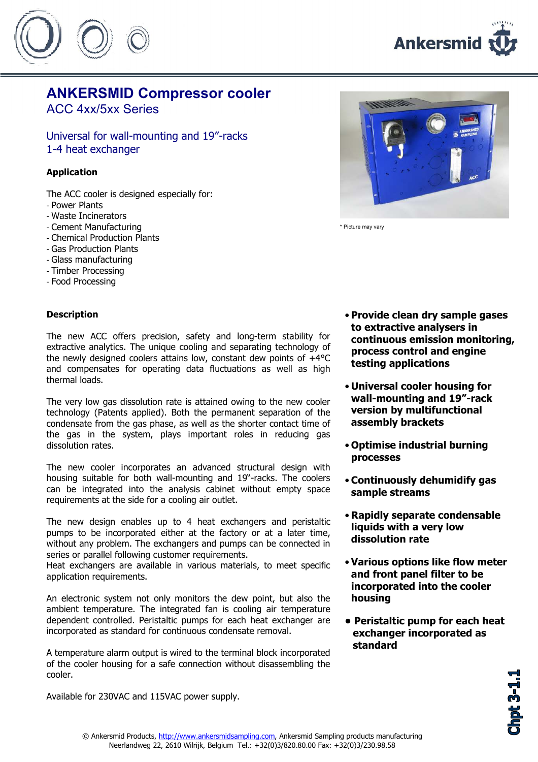



## ANKERSMID Compressor cooler

ACC 4xx/5xx Series

Universal for wall-mounting and 19"-racks 1-4 heat exchanger

#### Application

- The ACC cooler is designed especially for:
- Power Plants
- Waste Incinerators
- Cement Manufacturing
- Chemical Production Plants
- Gas Production Plants
- Glass manufacturing
- Timber Processing
- Food Processing

#### **Description**

The new ACC offers precision, safety and long-term stability for extractive analytics. The unique cooling and separating technology of the newly designed coolers attains low, constant dew points of  $+4^{\circ}$ C and compensates for operating data fluctuations as well as high thermal loads.

The very low gas dissolution rate is attained owing to the new cooler technology (Patents applied). Both the permanent separation of the condensate from the gas phase, as well as the shorter contact time of the gas in the system, plays important roles in reducing gas dissolution rates.

The new cooler incorporates an advanced structural design with housing suitable for both wall-mounting and 19"-racks. The coolers can be integrated into the analysis cabinet without empty space requirements at the side for a cooling air outlet.

The new design enables up to 4 heat exchangers and peristaltic pumps to be incorporated either at the factory or at a later time, without any problem. The exchangers and pumps can be connected in series or parallel following customer requirements.

Heat exchangers are available in various materials, to meet specific application requirements.

An electronic system not only monitors the dew point, but also the ambient temperature. The integrated fan is cooling air temperature dependent controlled. Peristaltic pumps for each heat exchanger are incorporated as standard for continuous condensate removal.

A temperature alarm output is wired to the terminal block incorporated of the cooler housing for a safe connection without disassembling the cooler.

Available for 230VAC and 115VAC power supply.



\* Picture may vary

- Provide clean dry sample gases to extractive analysers in continuous emission monitoring, process control and engine testing applications
- Universal cooler housing for wall-mounting and 19"-rack version by multifunctional assembly brackets
- Optimise industrial burning processes
- Continuously dehumidify gas sample streams
- Rapidly separate condensable liquids with a very low dissolution rate
- Various options like flow meter and front panel filter to be incorporated into the cooler housing
- Peristaltic pump for each heat exchanger incorporated as standard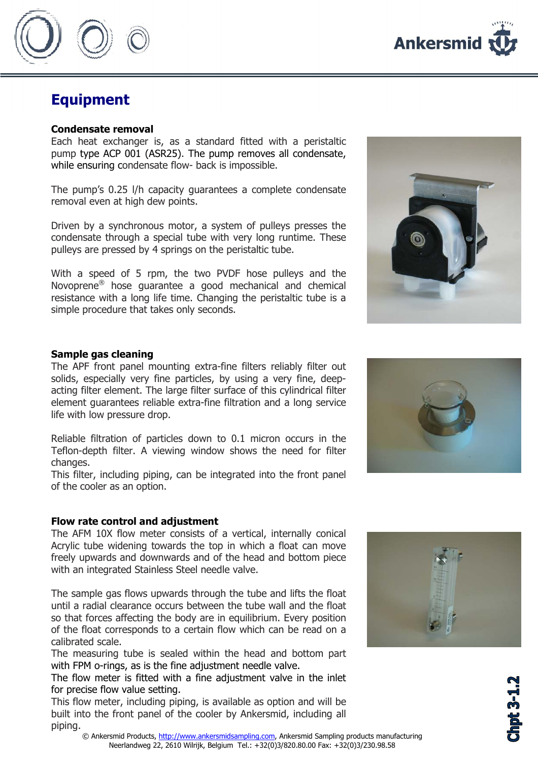

### Equipment

#### Condensate removal

Each heat exchanger is, as a standard fitted with a peristaltic pump type ACP 001 (ASR25). The pump removes all condensate, while ensuring condensate flow- back is impossible.

The pump's 0.25 l/h capacity guarantees a complete condensate removal even at high dew points.

Driven by a synchronous motor, a system of pulleys presses the condensate through a special tube with very long runtime. These pulleys are pressed by 4 springs on the peristaltic tube.

With a speed of 5 rpm, the two PVDF hose pulleys and the Novoprene® hose guarantee a good mechanical and chemical resistance with a long life time. Changing the peristaltic tube is a simple procedure that takes only seconds.



#### Sample gas cleaning

The APF front panel mounting extra-fine filters reliably filter out solids, especially very fine particles, by using a very fine, deepacting filter element. The large filter surface of this cylindrical filter element guarantees reliable extra-fine filtration and a long service life with low pressure drop.

Reliable filtration of particles down to 0.1 micron occurs in the Teflon-depth filter. A viewing window shows the need for filter changes.

This filter, including piping, can be integrated into the front panel of the cooler as an option.

#### Flow rate control and adjustment

The AFM 10X flow meter consists of a vertical, internally conical Acrylic tube widening towards the top in which a float can move freely upwards and downwards and of the head and bottom piece with an integrated Stainless Steel needle valve.

The sample gas flows upwards through the tube and lifts the float until a radial clearance occurs between the tube wall and the float so that forces affecting the body are in equilibrium. Every position of the float corresponds to a certain flow which can be read on a calibrated scale.

The measuring tube is sealed within the head and bottom part with FPM o-rings, as is the fine adjustment needle valve.

The flow meter is fitted with a fine adjustment valve in the inlet for precise flow value setting.

This flow meter, including piping, is available as option and will be built into the front panel of the cooler by Ankersmid, including all piping.





**hpt 3-1.**